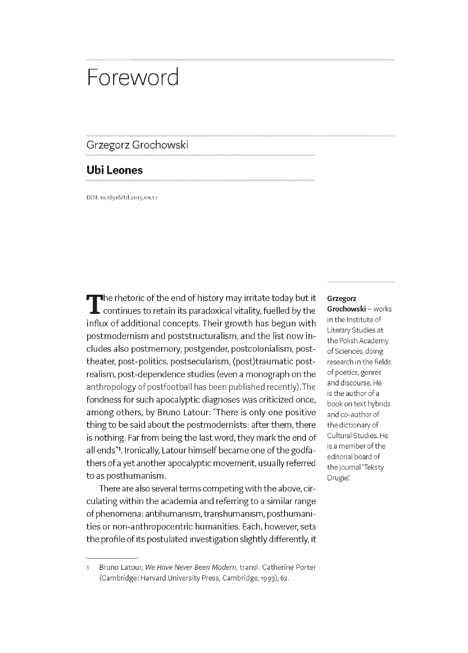# Foreword

### Grzegorz Grochowski

## **Ubi Leones**

DOI: 10.18318/td.2015.en.1.1

The rhetoric of the end of history may irritate today but it<br>
continues to retain its paradoxical vitality, fuelled by the<br>
influx of additional concents. Their growth has begun with continues to retain its paradoxical vitality, fuelled by the influx of additional concepts. Their growth has begun with postmodernism and poststructuralism, and the list now includes also postmemory, postgender, postcolonialism, posttheater, post-politics, postsecularism, (post)traumatic postrealism, post-dependence studies (even a monograph on the anthropology of postfootball has been published recently). The fondness for such apocalyptic diagnoses was criticized once, among others, by Bruno Latour: "There is only one positive thing to be said about the postmodernists: after them, there is nothing. Far from being the last word, they mark the end of all ends"1. Ironically, Latour himself became one of the godfathers of a yet another apocalyptic movement, usually referred to as posthumanism.

There are also several terms competing with the above, circulating within the academia and referring to a similar range of phenomena: antihumanism, transhumanism, posthumanities or non-anthropocentric humanities. Each, however, sets the profile of its postulated investigation slightly differently, it

#### **Grzegorz**

**Grochowski** - works in the Institute of Literary Studies at the Polish Academy of Sciences, doing research in the fields of poetics, genres and discourse. He is the author of a book on text hybrids and co-author of the dictionary of Cultural Studies. He is a member of the editorial board of the journal "Teksty Drugie"

i Bruno Latour, *We Have Never Been Modern,* transl. Catherine Porter (Cambridge: Harvard University Press, Cambridge, 1993), 62.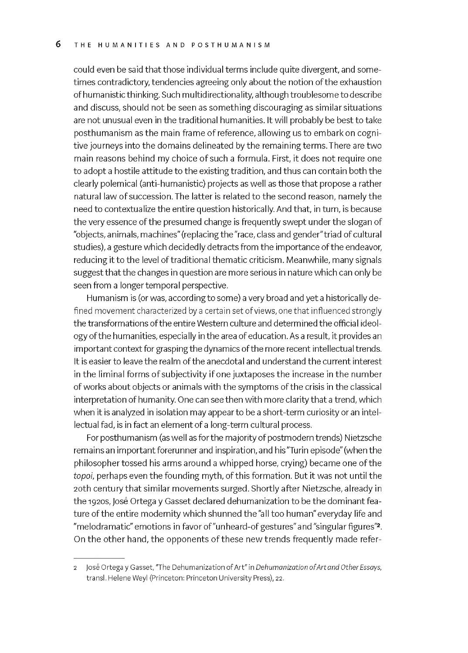could even be said that those individual terms include quite divergent, and sometimes contradictory, tendencies agreeing only about the notion of the exhaustion of humanistic thinking. Such multidirectionality, although troublesome to describe and discuss, should not be seen as something discouraging as similar situations are not unusual even in the traditional humanities. It will probably be best to take posthumanism as the main frame of reference, allowing us to embark on cognitive journeys into the domains delineated by the remaining terms. There are two main reasons behind my choice of such a formula. First, it does not require one to adopt a hostile attitude to the existing tradition, and thus can contain both the clearly polemical (anti-humanistic) projects as well as those that propose a rather natural law of succession. The latter is related to the second reason, namely the need to contextualize the entire question historically. And that, in turn, is because the very essence of the presumed change is frequently swept under the slogan of "objects, animals, machines" (replacing the "race, class and gender" triad of cultural studies), a gesture which decidedly detracts from the importance of the endeavor, reducing it to the level of traditional thematic criticism. Meanwhile, many signals suggest that the changes in question are more serious in nature which can only be seen from a longer temporal perspective.

Humanism is (or was, according to some) a very broad and yet a historically defined movement characterized by a certain set of views, one that influenced strongly the transformations of the entire Western culture and determined the official ideology of the humanities, especially in the area of education. As a result, it provides an important context for grasping the dynamics of the more recent intellectual trends. It is easier to leave the realm of the anecdotal and understand the current interest in the liminal forms of subjectivity if one juxtaposes the increase in the number of works about objects or animals with the symptoms of the crisis in the classical interpretation of humanity. One can see then with more clarity that a trend, which when it is analyzed in isolation may appear to be a short-term curiosity or an intellectual fad, is in fact an element of a long-term cultural process.

For posthumanism (as well as for the majority of postmodern trends) Nietzsche remains an important forerunner and inspiration, and his "Turin episode" (when the philosopher tossed his arms around a whipped horse, crying) became one of the *topoi,* perhaps even the founding myth, of this formation. But it was not until the 20th century that similar movements surged. Shortly after Nietzsche, already in the i92os, Jose Ortega y Gasset declared dehumanization to be the dominant feature of the entire modernity which shunned the "all too human" everyday life and "melodramatic" emotions in favor of "unheard-of gestures" and "singular figures"2. On the other hand, the opponents of these new trends frequently made refer-

<sup>2</sup> Jose Ortega y Gasset, "The Dehumanization of Art" in *Dehumanization o f Art and Other Essays,* transl. Helene Weyl (Princeton: Princeton University Press), 22.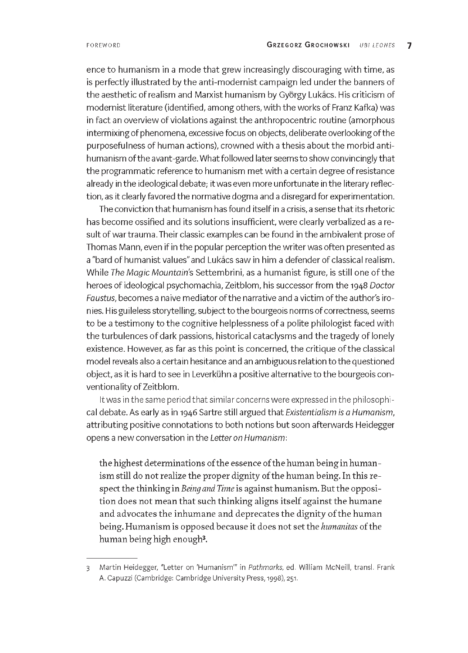ence to humanism in a mode that grew increasingly discouraging with time, as is perfectly illustrated by the anti-modernist campaign led under the banners of the aesthetic of realism and Marxist humanism by Gyorgy Lukacs. His criticism of modernist literature (identified, among others, with the works of Franz Kafka) was in fact an overview of violations against the anthropocentric routine (amorphous intermixing of phenomena, excessive focus on objects, deliberate overlooking of the purposefulness of human actions), crowned with a thesis about the morbid antihumanism of the avant-garde. What followed later seems to show convincingly that the programmatic reference to humanism met with a certain degree of resistance already in the ideological debate; it was even more unfortunate in the literary reflection, as it clearly favored the normative dogma and a disregard for experimentation.

The conviction that humanism has found itself in a crisis, a sense that its rhetoric has become ossified and its solutions insufficient, were clearly verbalized as a result of war trauma. Their classic examples can be found in the ambivalent prose of Thomas Mann, even if in the popular perception the writer was often presented as a "bard of humanist values" and Lukacs saw in him a defender of classical realism. While *The Magic Mountain's* Settembrini, as a humanist figure, is still one of the heroes of ideological psychomachia, Zeitblom, his successor from the 1948 *Doctor Faustus,* becomes a naive mediator of the narrative and a victim of the author's ironies. His guileless storytelling, subject to the bourgeois norms of correctness, seems to be a testimony to the cognitive helplessness of a polite philologist faced with the turbulences of dark passions, historical cataclysms and the tragedy of lonely existence. However, as far as this point is concerned, the critique of the classical model reveals also a certain hesitance and an ambiguous relation to the questioned object, as it is hard to see in Leverkuhn a positive alternative to the bourgeois conventionality of Zeitblom.

It was in the same period that similar concerns were expressed in the philosophical debate. As early as in 1946 Sartre still argued that *Existentialism is a Humanism,* attributing positive connotations to both notions but soon afterwards Heidegger opens a new conversation in the *Letter on Humanism:*

the highest determinations of the essence of the human being in humanism still do not realize the proper dignity of the human being. In this respect the thinking in *Being and Time* is against humanism. But the opposition does not mean that such thinking aligns itself against the humane and advocates the inhumane and deprecates the dignity of the human being. Humanism is opposed because it does not set the *humanitas* of the human being high enough3.

<sup>3</sup> Martin Heidegger, "Letter on 'Humanism'" in *Pathmarks,* ed. William McNeill, transl. Frank A. Capuzzi (Cambridge: Cambridge University Press, 1998), 251.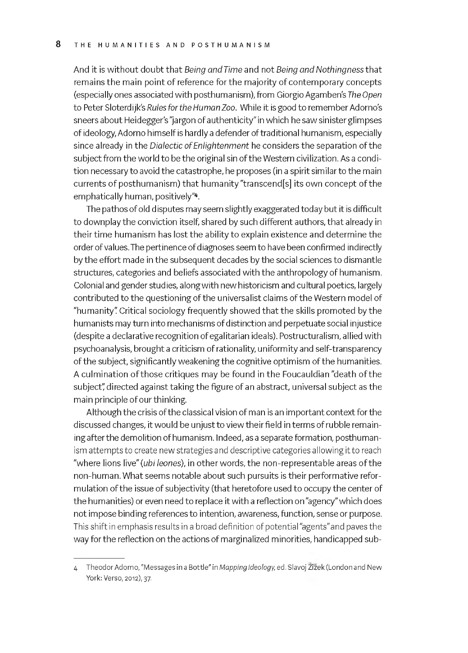And it is without doubt that *Being and Time* and not *Being and Nothingness* that remains the main point of reference for the majority of contemporary concepts (especially ones associated with posthumanism), from Giorgio Agamben's *The Open* to Peter Sloterdijk's *Rules for the Human Zoo.* While it is good to remember Adorno's sneers about Heidegger's "jargon of authenticity" in which he saw sinister glimpses of ideology, Adorno himself is hardly a defender of traditional humanism, especially since already in the *Dialectic ofEnlightenment* he considers the separation of the subject from the world to be the original sin of the Western civilization. As a condition necessary to avoid the catastrophe, he proposes (in a spirit similar to the main currents of posthumanism) that humanity "transcend[s] its own concept of the emphatically human, positively"4.

The pathos of old disputes may seem slightly exaggerated today but it is difficult to downplay the conviction itself, shared by such different authors, that already in their time humanism has lost the ability to explain existence and determine the order of values. The pertinence of diagnoses seem to have been confirmed indirectly by the effort made in the subsequent decades by the social sciences to dismantle structures, categories and beliefs associated with the anthropology of humanism. Colonial and gender studies, along with new historicism and cultural poetics, largely contributed to the questioning of the universalist claims of the Western model of "humanity" Critical sociology frequently showed that the skills promoted by the humanists may turn into mechanisms of distinction and perpetuate social injustice (despite a declarative recognition of egalitarian ideals). Postructuralism, allied with psychoanalysis, brought a criticism of rationality, uniformity and self-transparency of the subject, significantly weakening the cognitive optimism of the humanities. A culmination of those critiques may be found in the Foucauldian "death of the subject" directed against taking the figure of an abstract, universal subject as the main principle of our thinking.

Although the crisis of the classical vision of man is an important context for the discussed changes, it would be unjust to view their field in terms of rubble remaining after the demolition of humanism. Indeed, as a separate formation, posthumanism attempts to create new strategies and descriptive categories allowing it to reach "where lions live" *(ubi leones),* in other words, the non-representable areas of the non-human. What seems notable about such pursuits is their performative reformulation of the issue of subjectivity (that heretofore used to occupy the center of the humanities) or even need to replace it with a reflection on "agency" which does not impose binding references to intention, awareness, function, sense or purpose. This shift in emphasis results in a broad definition of potential "agents" and paves the way for the reflection on the actions of marginalized minorities, handicapped sub-

<sup>4</sup> Theodor Adorno, "Messages in a Bottle" in *Mapping Ideology,* ed. Slavoj Zizek (London and New York: Verso, 2012), 37.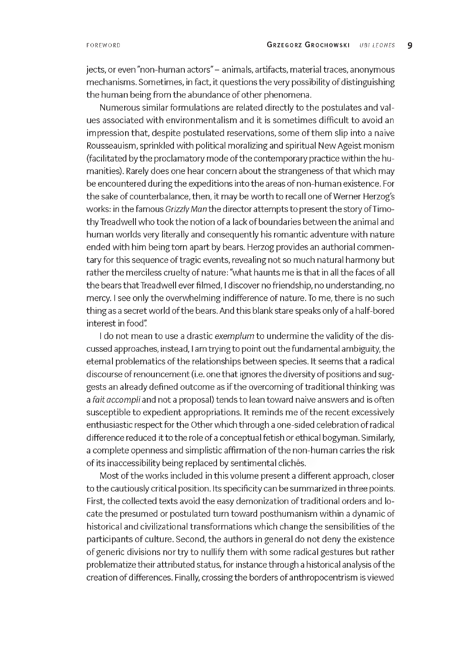jects, or even "non-human actors" - animals, artifacts, material traces, anonymous mechanisms. Sometimes, in fact, it questions the very possibility of distinguishing the human being from the abundance of other phenomena.

Numerous similar formulations are related directly to the postulates and values associated with environmentalism and it is sometimes difficult to avoid an impression that, despite postulated reservations, some of them slip into a naive Rousseauism, sprinkled with political moralizing and spiritual New Ageist monism (facilitated by the proclamatory mode of the contemporary practice within the humanities). Rarely does one hear concern about the strangeness of that which may be encountered during the expeditions into the areas of non-human existence. For the sake of counterbalance, then, it may be worth to recall one of Werner Herzog's works: in the famous *Grizzly Man* the director attempts to present the story ofTimothy Treadwell who took the notion of a lack of boundaries between the animal and human worlds very literally and consequently his romantic adventure with nature ended with him being torn apart by bears. Herzog provides an authorial commentary for this sequence of tragic events, revealing not so much natural harmony but rather the merciless cruelty of nature: "what haunts me is that in all the faces of all the bears that Treadwell ever filmed, I discover no friendship, no understanding, no mercy. I see only the overwhelming indifference of nature. To me, there is no such thing as a secret world of the bears. And this blank stare speaks only of a half-bored interest in food"

I do not mean to use a drastic *exemplum* to undermine the validity of the discussed approaches, instead, I am trying to point out the fundamental ambiguity, the eternal problematics of the relationships between species. It seems that a radical discourse of renouncement (i.e. one that ignores the diversity of positions and suggests an already defined outcome as if the overcoming of traditional thinking was a *fait accompli* and not a proposal) tends to lean toward naive answers and is often susceptible to expedient appropriations. It reminds me of the recent excessively enthusiastic respect for the Other which through a one-sided celebration of radical difference reduced it to the role of a conceptual fetish or ethical bogyman. Similarly, a complete openness and simplistic affirmation of the non-human carries the risk of its inaccessibility being replaced by sentimental cliches.

Most of the works included in this volume present a different approach, closer to the cautiously critical position. Its specificity can be summarized in three points. First, the collected texts avoid the easy demonization of traditional orders and locate the presumed or postulated turn toward posthumanism within a dynamic of historical and civilizational transformations which change the sensibilities of the participants of culture. Second, the authors in general do not deny the existence of generic divisions nor try to nullify them with some radical gestures but rather problematize their attributed status, for instance through a historical analysis of the creation of differences. Finally, crossing the borders of anthropocentrism is viewed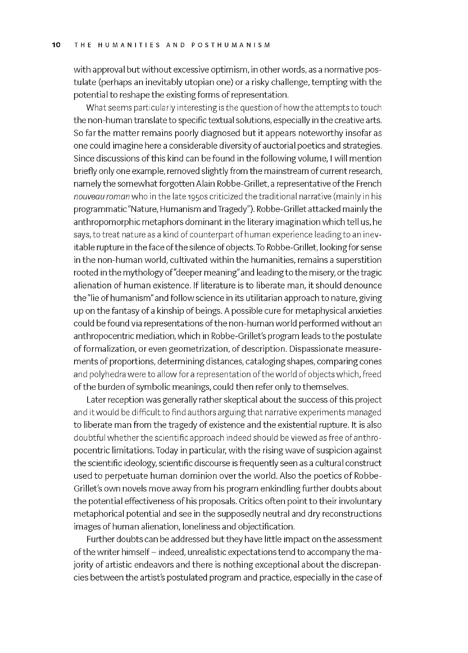with approval but without excessive optimism, in other words, as a normative postulate (perhaps an inevitably utopian one) or a risky challenge, tempting with the potential to reshape the existing forms of representation.

What seems particularly interesting is the question of how the attempts to touch the non-human translate to specific textual solutions, especially in the creative arts. So far the matter remains poorly diagnosed but it appears noteworthy insofar as one could imagine here a considerable diversity of auctorial poetics and strategies. Since discussions of this kind can be found in the following volume, I will mention briefly only one example, removed slightly from the mainstream of current research, namely the somewhat forgotten Alain Robbe-Grillet, a representative of the French *nouveau roman* who in the late 195os criticized the traditional narrative (mainly in his programmatic "Nature, Humanism and Tragedy"). Robbe-Grillet attacked mainly the anthropomorphic metaphors dominant in the literary imagination which tell us, he says, to treat nature as a kind of counterpart of human experience leading to an inevitable rupture in the face of the silence of objects. To Robbe-Grillet, looking for sense in the non-human world, cultivated within the humanities, remains a superstition rooted in the mythology of "deeper meaning" and leading to the misery, or the tragic alienation of human existence. If literature is to liberate man, it should denounce the "lie of humanism" and follow science in its utilitarian approach to nature, giving up on the fantasy of a kinship of beings. A possible cure for metaphysical anxieties could be found via representations of the non-human world performed without an anthropocentric mediation, which in Robbe-Grillet's program leads to the postulate of formalization, or even geometrization, of description. Dispassionate measurements of proportions, determining distances, cataloging shapes, comparing cones and polyhedra were to allow for a representation of the world of objects which, freed of the burden of symbolic meanings, could then refer only to themselves.

Later reception was generally rather skeptical about the success of this project and it would be difficult to find authors arguing that narrative experiments managed to liberate man from the tragedy of existence and the existential rupture. It is also doubtful whether the scientific approach indeed should be viewed as free of anthropocentric limitations. Today in particular, with the rising wave of suspicion against the scientific ideology, scientific discourse is frequently seen as a cultural construct used to perpetuate human dominion over the world. Also the poetics of Robbe-Grillet's own novels move away from his program enkindling further doubts about the potential effectiveness of his proposals. Critics often point to their involuntary metaphorical potential and see in the supposedly neutral and dry reconstructions images of human alienation, loneliness and objectification.

Further doubts can be addressed but they have little impact on the assessment of the writer himself - indeed, unrealistic expectations tend to accompany the majority of artistic endeavors and there is nothing exceptional about the discrepancies between the artist's postulated program and practice, especially in the case of